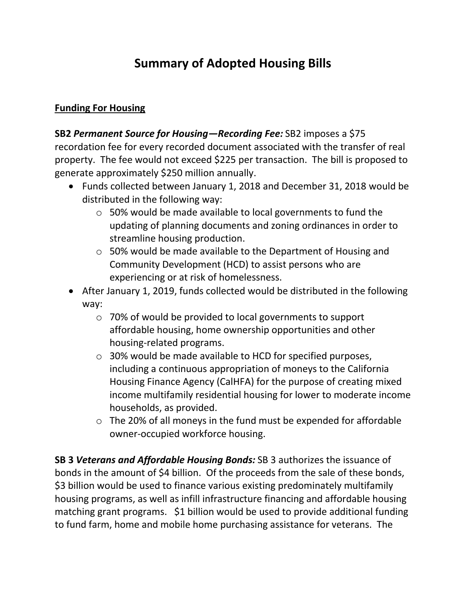# **Summary of Adopted Housing Bills**

#### **Funding For Housing**

**SB2** *Permanent Source for Housing—Recording Fee:* SB2 imposes a \$75 recordation fee for every recorded document associated with the transfer of real property. The fee would not exceed \$225 per transaction. The bill is proposed to generate approximately \$250 million annually.

- Funds collected between January 1, 2018 and December 31, 2018 would be distributed in the following way:
	- o 50% would be made available to local governments to fund the updating of planning documents and zoning ordinances in order to streamline housing production.
	- o 50% would be made available to the Department of Housing and Community Development (HCD) to assist persons who are experiencing or at risk of homelessness.
- After January 1, 2019, funds collected would be distributed in the following way:
	- o 70% of would be provided to local governments to support affordable housing, home ownership opportunities and other housing-related programs.
	- o 30% would be made available to HCD for specified purposes, including a continuous appropriation of moneys to the California Housing Finance Agency (CalHFA) for the purpose of creating mixed income multifamily residential housing for lower to moderate income households, as provided.
	- o The 20% of all moneys in the fund must be expended for affordable owner-occupied workforce housing.

**SB 3** *Veterans and Affordable Housing Bonds:* SB 3 authorizes the issuance of bonds in the amount of \$4 billion. Of the proceeds from the sale of these bonds, \$3 billion would be used to finance various existing predominately multifamily housing programs, as well as infill infrastructure financing and affordable housing matching grant programs. \$1 billion would be used to provide additional funding to fund farm, home and mobile home purchasing assistance for veterans. The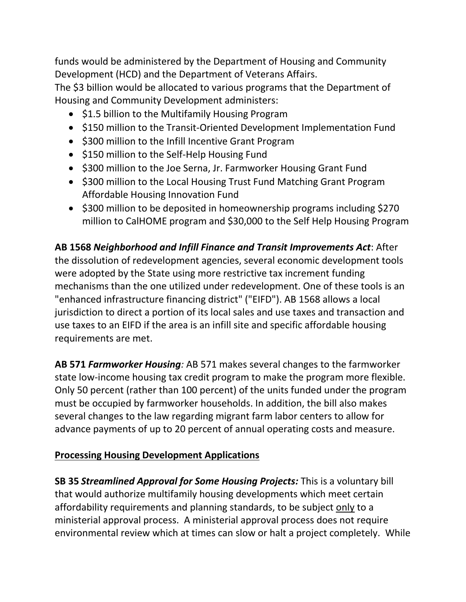funds would be administered by the Department of Housing and Community Development (HCD) and the Department of Veterans Affairs.

The \$3 billion would be allocated to various programs that the Department of Housing and Community Development administers:

- \$1.5 billion to the Multifamily Housing Program
- \$150 million to the Transit-Oriented Development Implementation Fund
- \$300 million to the Infill Incentive Grant Program
- \$150 million to the Self-Help Housing Fund
- \$300 million to the Joe Serna, Jr. Farmworker Housing Grant Fund
- \$300 million to the Local Housing Trust Fund Matching Grant Program Affordable Housing Innovation Fund
- \$300 million to be deposited in homeownership programs including \$270 million to CalHOME program and \$30,000 to the Self Help Housing Program

**AB 1568** *Neighborhood and Infill Finance and Transit Improvements Act*: After the dissolution of redevelopment agencies, several economic development tools were adopted by the State using more restrictive tax increment funding mechanisms than the one utilized under redevelopment. One of these tools is an "enhanced infrastructure financing district" ("EIFD"). AB 1568 allows a local jurisdiction to direct a portion of its local sales and use taxes and transaction and use taxes to an EIFD if the area is an infill site and specific affordable housing requirements are met.

**AB 571** *Farmworker Housing:* AB 571 makes several changes to the farmworker state low-income housing tax credit program to make the program more flexible. Only 50 percent (rather than 100 percent) of the units funded under the program must be occupied by farmworker households. In addition, the bill also makes several changes to the law regarding migrant farm labor centers to allow for advance payments of up to 20 percent of annual operating costs and measure.

#### **Processing Housing Development Applications**

**SB 35** *Streamlined Approval for Some Housing Projects:* This is a voluntary bill that would authorize multifamily housing developments which meet certain affordability requirements and planning standards, to be subject only to a ministerial approval process. A ministerial approval process does not require environmental review which at times can slow or halt a project completely. While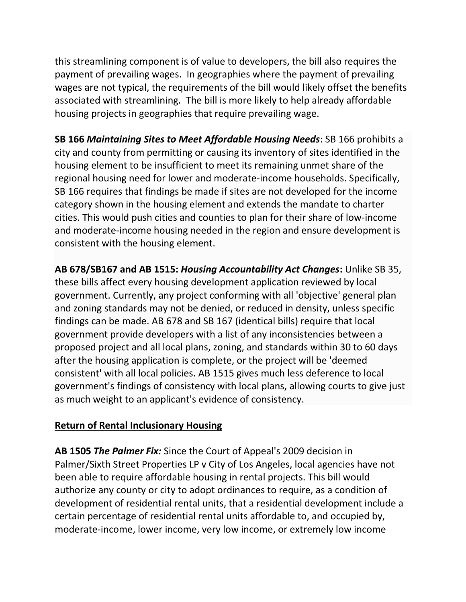this streamlining component is of value to developers, the bill also requires the payment of prevailing wages. In geographies where the payment of prevailing wages are not typical, the requirements of the bill would likely offset the benefits associated with streamlining. The bill is more likely to help already affordable housing projects in geographies that require prevailing wage.

**SB 166** *Maintaining Sites to Meet Affordable Housing Needs*: SB 166 prohibits a city and county from permitting or causing its inventory of sites identified in the housing element to be insufficient to meet its remaining unmet share of the regional housing need for lower and moderate-income households. Specifically, SB 166 requires that findings be made if sites are not developed for the income category shown in the housing element and extends the mandate to charter cities. This would push cities and counties to plan for their share of low-income and moderate-income housing needed in the region and ensure development is consistent with the housing element.

**AB 678/SB167 and AB 1515:** *Housing Accountability Act Changes***:** Unlike SB 35, these bills affect every housing development application reviewed by local government. Currently, any project conforming with all 'objective' general plan and zoning standards may not be denied, or reduced in density, unless specific findings can be made. AB 678 and SB 167 (identical bills) require that local government provide developers with a list of any inconsistencies between a proposed project and all local plans, zoning, and standards within 30 to 60 days after the housing application is complete, or the project will be 'deemed consistent' with all local policies. AB 1515 gives much less deference to local government's findings of consistency with local plans, allowing courts to give just as much weight to an applicant's evidence of consistency.

# **Return of Rental Inclusionary Housing**

**AB 1505** *The Palmer Fix:* Since the Court of Appeal's 2009 decision in Palmer/Sixth Street Properties LP v City of Los Angeles, local agencies have not been able to require affordable housing in rental projects. This bill would authorize any county or city to adopt ordinances to require, as a condition of development of residential rental units, that a residential development include a certain percentage of residential rental units affordable to, and occupied by, moderate-income, lower income, very low income, or extremely low income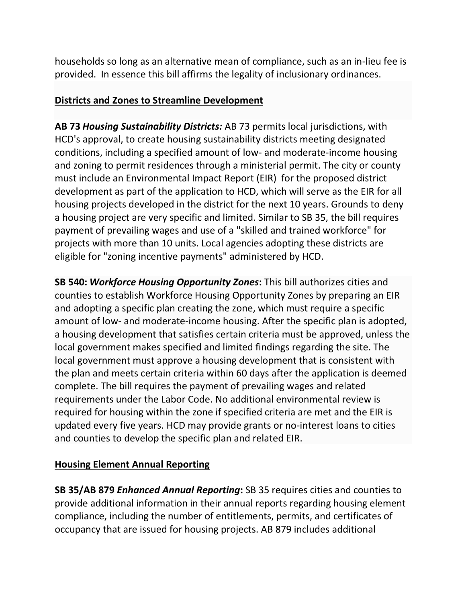households so long as an alternative mean of compliance, such as an in-lieu fee is provided. In essence this bill affirms the legality of inclusionary ordinances.

## **Districts and Zones to Streamline Development**

**AB 73** *Housing Sustainability Districts:* AB 73 permits local jurisdictions, with HCD's approval, to create housing sustainability districts meeting designated conditions, including a specified amount of low- and moderate-income housing and zoning to permit residences through a ministerial permit. The city or county must include an Environmental Impact Report (EIR) for the proposed district development as part of the application to HCD, which will serve as the EIR for all housing projects developed in the district for the next 10 years. Grounds to deny a housing project are very specific and limited. Similar to SB 35, the bill requires payment of prevailing wages and use of a "skilled and trained workforce" for projects with more than 10 units. Local agencies adopting these districts are eligible for "zoning incentive payments" administered by HCD.

**SB 540:** *Workforce Housing Opportunity Zones***:** This bill authorizes cities and counties to establish Workforce Housing Opportunity Zones by preparing an EIR and adopting a specific plan creating the zone, which must require a specific amount of low- and moderate-income housing. After the specific plan is adopted, a housing development that satisfies certain criteria must be approved, unless the local government makes specified and limited findings regarding the site. The local government must approve a housing development that is consistent with the plan and meets certain criteria within 60 days after the application is deemed complete. The bill requires the payment of prevailing wages and related requirements under the Labor Code. No additional environmental review is required for housing within the zone if specified criteria are met and the EIR is updated every five years. HCD may provide grants or no-interest loans to cities and counties to develop the specific plan and related EIR.

# **Housing Element Annual Reporting**

**SB 35/AB 879** *Enhanced Annual Reporting***:** SB 35 requires cities and counties to provide additional information in their annual reports regarding housing element compliance, including the number of entitlements, permits, and certificates of occupancy that are issued for housing projects. AB 879 includes additional